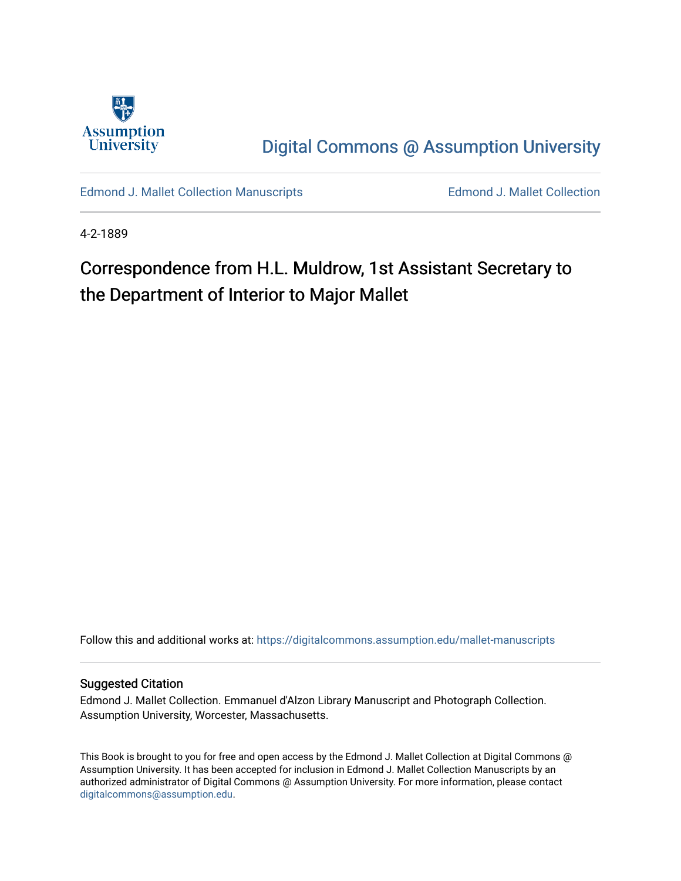

[Digital Commons @ Assumption University](https://digitalcommons.assumption.edu/) 

[Edmond J. Mallet Collection Manuscripts](https://digitalcommons.assumption.edu/mallet-manuscripts) **Edmond J. Mallet Collection** 

4-2-1889

# Correspondence from H.L. Muldrow, 1st Assistant Secretary to the Department of Interior to Major Mallet

Follow this and additional works at: [https://digitalcommons.assumption.edu/mallet-manuscripts](https://digitalcommons.assumption.edu/mallet-manuscripts?utm_source=digitalcommons.assumption.edu%2Fmallet-manuscripts%2F87&utm_medium=PDF&utm_campaign=PDFCoverPages) 

#### Suggested Citation

Edmond J. Mallet Collection. Emmanuel d'Alzon Library Manuscript and Photograph Collection. Assumption University, Worcester, Massachusetts.

This Book is brought to you for free and open access by the Edmond J. Mallet Collection at Digital Commons @ Assumption University. It has been accepted for inclusion in Edmond J. Mallet Collection Manuscripts by an authorized administrator of Digital Commons @ Assumption University. For more information, please contact [digitalcommons@assumption.edu](mailto:digitalcommons@assumption.edu).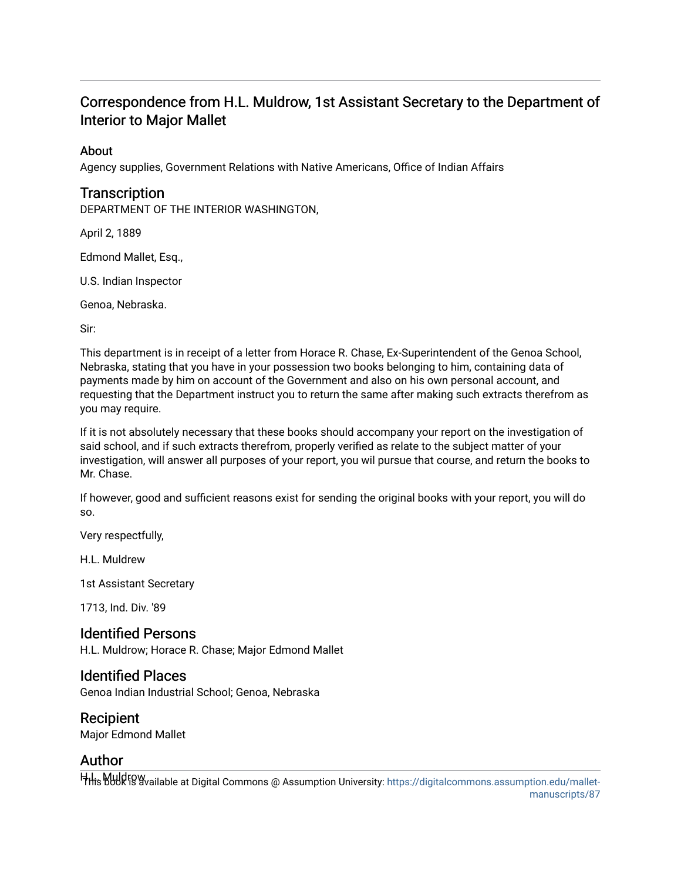## Correspondence from H.L. Muldrow, 1st Assistant Secretary to the Department of Interior to Major Mallet

#### About

Agency supplies, Government Relations with Native Americans, Office of Indian Affairs

## **Transcription**

DEPARTMENT OF THE INTERIOR WASHINGTON,

April 2, 1889

Edmond Mallet, Esq.,

U.S. Indian Inspector

Genoa, Nebraska.

Sir:

This department is in receipt of a letter from Horace R. Chase, Ex-Superintendent of the Genoa School, Nebraska, stating that you have in your possession two books belonging to him, containing data of payments made by him on account of the Government and also on his own personal account, and requesting that the Department instruct you to return the same after making such extracts therefrom as you may require.

If it is not absolutely necessary that these books should accompany your report on the investigation of said school, and if such extracts therefrom, properly verified as relate to the subject matter of your investigation, will answer all purposes of your report, you wil pursue that course, and return the books to Mr. Chase.

If however, good and sufficient reasons exist for sending the original books with your report, you will do so.

Very respectfully,

H.L. Muldrew

1st Assistant Secretary

1713, Ind. Div. '89

### Identified Persons

H.L. Muldrow; Horace R. Chase; Major Edmond Mallet

#### Identified Places

Genoa Indian Industrial School; Genoa, Nebraska

#### Recipient

Major Edmond Mallet

### Author

HHis book is available at Digital Commons @ Assumption University: [https://digitalcommons.assumption.edu/mallet-](https://digitalcommons.assumption.edu/mallet-manuscripts/87)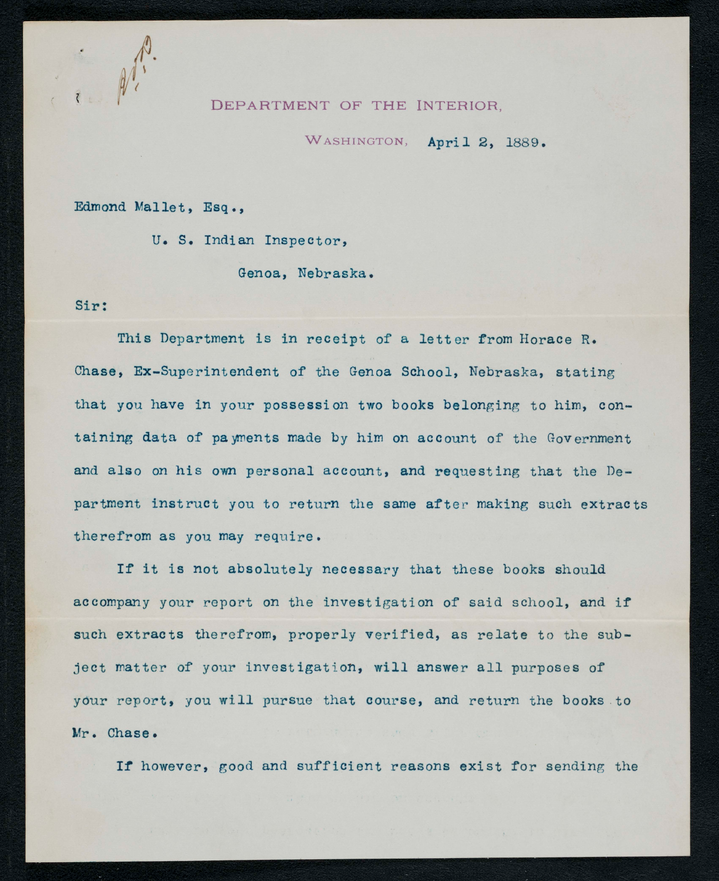

#### DEPARTMENT OF THE INTERIOR.

WASHINGTON, April 2, 1889.

Edmond Mallet, Esq.,

U. S. Indian Inspector,

Genoa, Nebraska.

#### Sir:

This Department is in receipt of a letter from Horace R. Chase, Ex-Superintendent of the Genoa School, Nebraska, stating that you have in your possession two books belonging to him, containing data of payments made by him on account of the Government and also on his own personal account, and requesting that the Department instruct you to return the same after making such extracts therefrom as you may require.

If it is not absolutely necessary that these books should accompany your report on the investigation of said school, and if such extracts therefrom, properly verified, as relate to the subject matter of your investigation, will answer all purposes of your report, you will pursue that course, and return the books to Mr. Chase.

If however, good and sufficient reasons exist for sending the